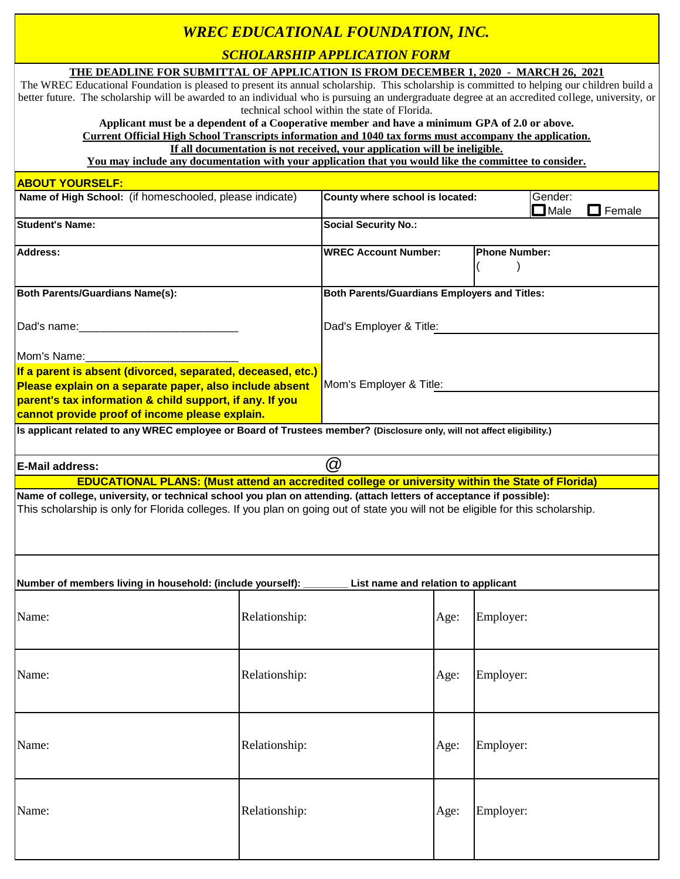## *WREC EDUCATIONAL FOUNDATION, INC.*

*SCHOLARSHIP APPLICATION FORM*

|                                                                                                                                                                                                                                                        |                         | <u>эсноелюши ан ееслион гомм</u>                                           |                   |                      |                        |        |
|--------------------------------------------------------------------------------------------------------------------------------------------------------------------------------------------------------------------------------------------------------|-------------------------|----------------------------------------------------------------------------|-------------------|----------------------|------------------------|--------|
| THE DEADLINE FOR SUBMITTAL OF APPLICATION IS FROM DECEMBER 1, 2020 - MARCH 26, 2021<br>The WREC Educational Foundation is pleased to present its annual scholarship. This scholarship is committed to helping our children build a                     |                         |                                                                            |                   |                      |                        |        |
| better future. The scholarship will be awarded to an individual who is pursuing an undergraduate degree at an accredited college, university, or                                                                                                       |                         |                                                                            |                   |                      |                        |        |
|                                                                                                                                                                                                                                                        |                         | technical school within the state of Florida.                              |                   |                      |                        |        |
| Applicant must be a dependent of a Cooperative member and have a minimum GPA of 2.0 or above.                                                                                                                                                          |                         |                                                                            |                   |                      |                        |        |
| <b>Current Official High School Transcripts information and 1040 tax forms must accompany the application.</b>                                                                                                                                         |                         |                                                                            |                   |                      |                        |        |
| You may include any documentation with your application that you would like the committee to consider.                                                                                                                                                 |                         | If all documentation is not received, your application will be ineligible. |                   |                      |                        |        |
| <b>ABOUT YOURSELF:</b>                                                                                                                                                                                                                                 |                         |                                                                            |                   |                      |                        |        |
| Name of High School: (if homeschooled, please indicate)                                                                                                                                                                                                |                         | County where school is located:                                            |                   |                      | Gender:<br>$\Box$ Male | Female |
| <b>Student's Name:</b>                                                                                                                                                                                                                                 |                         | <b>Social Security No.:</b>                                                |                   |                      |                        |        |
| <b>Address:</b>                                                                                                                                                                                                                                        |                         | <b>WREC Account Number:</b>                                                |                   | <b>Phone Number:</b> |                        |        |
| <b>Both Parents/Guardians Name(s):</b>                                                                                                                                                                                                                 |                         | <b>Both Parents/Guardians Employers and Titles:</b>                        |                   |                      |                        |        |
| Dad's name:                                                                                                                                                                                                                                            |                         | Dad's Employer & Title:                                                    |                   |                      |                        |        |
| Mom's Name:                                                                                                                                                                                                                                            |                         |                                                                            |                   |                      |                        |        |
| If a parent is absent (divorced, separated, deceased, etc.)                                                                                                                                                                                            |                         |                                                                            |                   |                      |                        |        |
| Please explain on a separate paper, also include absent                                                                                                                                                                                                | Mom's Employer & Title: |                                                                            |                   |                      |                        |        |
| parent's tax information & child support, if any. If you                                                                                                                                                                                               |                         |                                                                            |                   |                      |                        |        |
| cannot provide proof of income please explain.                                                                                                                                                                                                         |                         |                                                                            |                   |                      |                        |        |
| Is applicant related to any WREC employee or Board of Trustees member? (Disclosure only, will not affect eligibility.)                                                                                                                                 |                         |                                                                            |                   |                      |                        |        |
| <b>E-Mail address:</b>                                                                                                                                                                                                                                 |                         | $^{\textregistered}$                                                       |                   |                      |                        |        |
| <b>EDUCATIONAL PLANS: (Must attend an accredited college or university within the State of Florida)</b>                                                                                                                                                |                         |                                                                            |                   |                      |                        |        |
| Name of college, university, or technical school you plan on attending. (attach letters of acceptance if possible):<br>This scholarship is only for Florida colleges. If you plan on going out of state you will not be eligible for this scholarship. |                         |                                                                            |                   |                      |                        |        |
| Number of members living in household: (include yourself):<br>List name and relation to applicant                                                                                                                                                      |                         |                                                                            |                   |                      |                        |        |
| Name:                                                                                                                                                                                                                                                  | Relationship:           |                                                                            | Employer:<br>Age: |                      |                        |        |
|                                                                                                                                                                                                                                                        |                         |                                                                            |                   |                      |                        |        |
| Name:<br>Relationship:                                                                                                                                                                                                                                 |                         |                                                                            | Employer:<br>Age: |                      |                        |        |
|                                                                                                                                                                                                                                                        |                         |                                                                            |                   |                      |                        |        |
|                                                                                                                                                                                                                                                        |                         |                                                                            |                   |                      |                        |        |
| Name:                                                                                                                                                                                                                                                  | Relationship:           |                                                                            | Age:              | Employer:            |                        |        |
| Name:                                                                                                                                                                                                                                                  | Relationship:           |                                                                            | Age:              | Employer:            |                        |        |
|                                                                                                                                                                                                                                                        |                         |                                                                            |                   |                      |                        |        |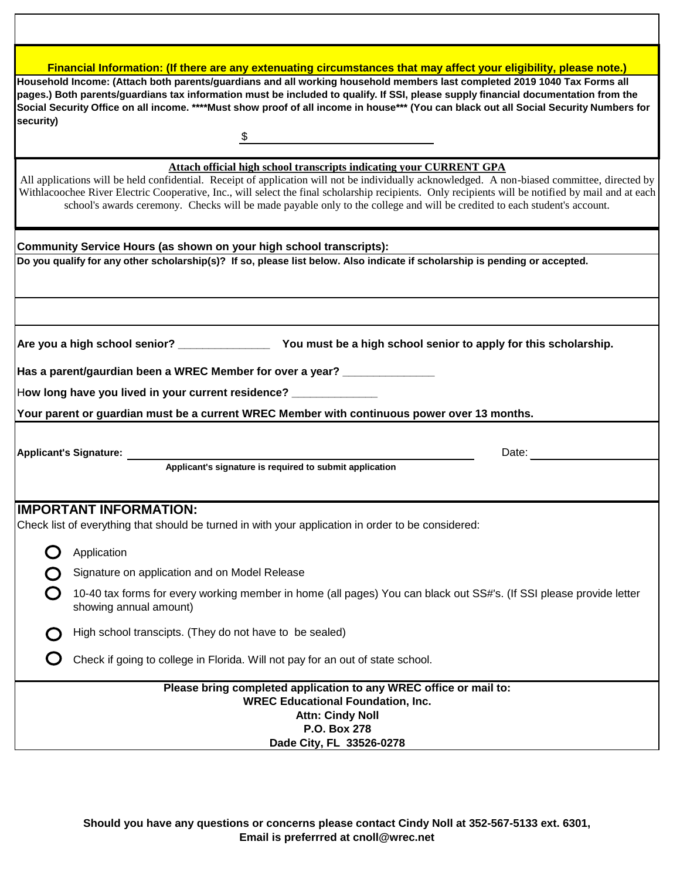| Financial Information: (If there are any extenuating circumstances that may affect your eligibility, please note.)                                                                                                                                                                                                                                                                                                                                                                                      |  |  |  |  |  |  |
|---------------------------------------------------------------------------------------------------------------------------------------------------------------------------------------------------------------------------------------------------------------------------------------------------------------------------------------------------------------------------------------------------------------------------------------------------------------------------------------------------------|--|--|--|--|--|--|
| Household Income: (Attach both parents/guardians and all working household members last completed 2019 1040 Tax Forms all<br>pages.) Both parents/guardians tax information must be included to qualify. If SSI, please supply financial documentation from the<br>Social Security Office on all income. ****Must show proof of all income in house*** (You can black out all Social Security Numbers for                                                                                               |  |  |  |  |  |  |
| security)                                                                                                                                                                                                                                                                                                                                                                                                                                                                                               |  |  |  |  |  |  |
| Attach official high school transcripts indicating your CURRENT GPA<br>All applications will be held confidential. Receipt of application will not be individually acknowledged. A non-biased committee, directed by<br>Withlacoochee River Electric Cooperative, Inc., will select the final scholarship recipients. Only recipients will be notified by mail and at each<br>school's awards ceremony. Checks will be made payable only to the college and will be credited to each student's account. |  |  |  |  |  |  |
| Community Service Hours (as shown on your high school transcripts):                                                                                                                                                                                                                                                                                                                                                                                                                                     |  |  |  |  |  |  |
| Do you qualify for any other scholarship(s)? If so, please list below. Also indicate if scholarship is pending or accepted.                                                                                                                                                                                                                                                                                                                                                                             |  |  |  |  |  |  |
| Are you a high school senior? ________________________ You must be a high school senior to apply for this scholarship.                                                                                                                                                                                                                                                                                                                                                                                  |  |  |  |  |  |  |
| Has a parent/gaurdian been a WREC Member for over a year? _______________                                                                                                                                                                                                                                                                                                                                                                                                                               |  |  |  |  |  |  |
| How long have you lived in your current residence? ______________                                                                                                                                                                                                                                                                                                                                                                                                                                       |  |  |  |  |  |  |
| Your parent or guardian must be a current WREC Member with continuous power over 13 months.                                                                                                                                                                                                                                                                                                                                                                                                             |  |  |  |  |  |  |
| Applicant's Signature: ____________________<br>Date:                                                                                                                                                                                                                                                                                                                                                                                                                                                    |  |  |  |  |  |  |
| Applicant's signature is required to submit application                                                                                                                                                                                                                                                                                                                                                                                                                                                 |  |  |  |  |  |  |
| <b>IMPORTANT INFORMATION:</b><br>Check list of everything that should be turned in with your application in order to be considered:                                                                                                                                                                                                                                                                                                                                                                     |  |  |  |  |  |  |
| Application                                                                                                                                                                                                                                                                                                                                                                                                                                                                                             |  |  |  |  |  |  |
| Signature on application and on Model Release                                                                                                                                                                                                                                                                                                                                                                                                                                                           |  |  |  |  |  |  |
| 10-40 tax forms for every working member in home (all pages) You can black out SS#'s. (If SSI please provide letter<br>showing annual amount)                                                                                                                                                                                                                                                                                                                                                           |  |  |  |  |  |  |
| High school transcipts. (They do not have to be sealed)                                                                                                                                                                                                                                                                                                                                                                                                                                                 |  |  |  |  |  |  |
| Check if going to college in Florida. Will not pay for an out of state school.                                                                                                                                                                                                                                                                                                                                                                                                                          |  |  |  |  |  |  |
| Please bring completed application to any WREC office or mail to:<br><b>WREC Educational Foundation, Inc.</b><br><b>Attn: Cindy Noll</b><br>P.O. Box 278<br>Dade City, FL 33526-0278                                                                                                                                                                                                                                                                                                                    |  |  |  |  |  |  |

**Should you have any questions or concerns please contact Cindy Noll at 352-567-5133 ext. 6301, Email is preferrred at cnoll@wrec.net**